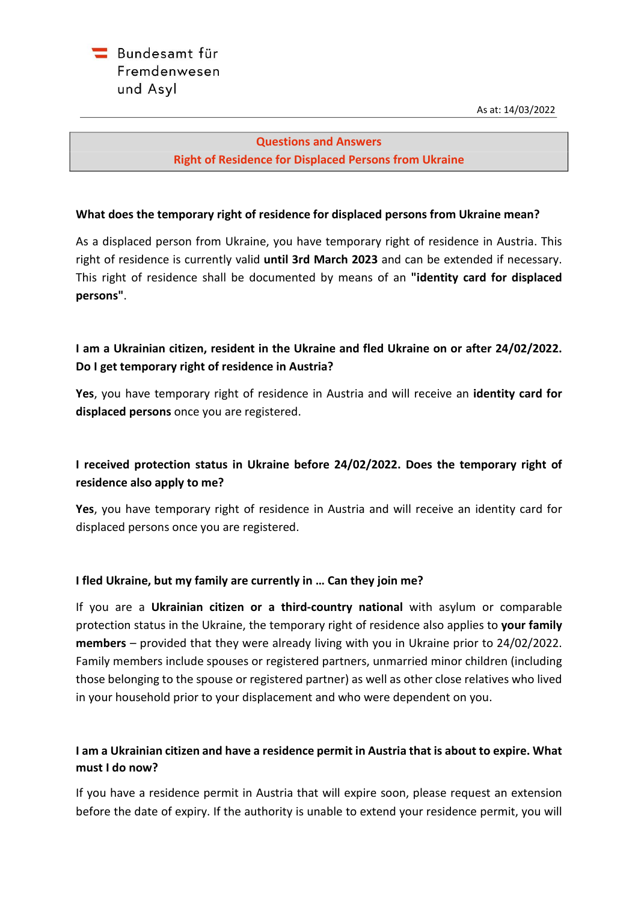

## **Questions and Answers Right of Residence for Displaced Persons from Ukraine**

### **What does the temporary right of residence for displaced persons from Ukraine mean?**

As a displaced person from Ukraine, you have temporary right of residence in Austria. This right of residence is currently valid **until 3rd March 2023** and can be extended if necessary. This right of residence shall be documented by means of an **"identity card for displaced persons"**.

# **I am a Ukrainian citizen, resident in the Ukraine and fled Ukraine on or after 24/02/2022. Do I get temporary right of residence in Austria?**

**Yes**, you have temporary right of residence in Austria and will receive an **identity card for displaced persons** once you are registered.

## **I received protection status in Ukraine before 24/02/2022. Does the temporary right of residence also apply to me?**

**Yes**, you have temporary right of residence in Austria and will receive an identity card for displaced persons once you are registered.

### **I fled Ukraine, but my family are currently in … Can they join me?**

If you are a **Ukrainian citizen or a third-country national** with asylum or comparable protection status in the Ukraine, the temporary right of residence also applies to **your family members** – provided that they were already living with you in Ukraine prior to 24/02/2022. Family members include spouses or registered partners, unmarried minor children (including those belonging to the spouse or registered partner) as well as other close relatives who lived in your household prior to your displacement and who were dependent on you.

## **I am a Ukrainian citizen and have a residence permit in Austria that is about to expire. What must I do now?**

If you have a residence permit in Austria that will expire soon, please request an extension before the date of expiry. If the authority is unable to extend your residence permit, you will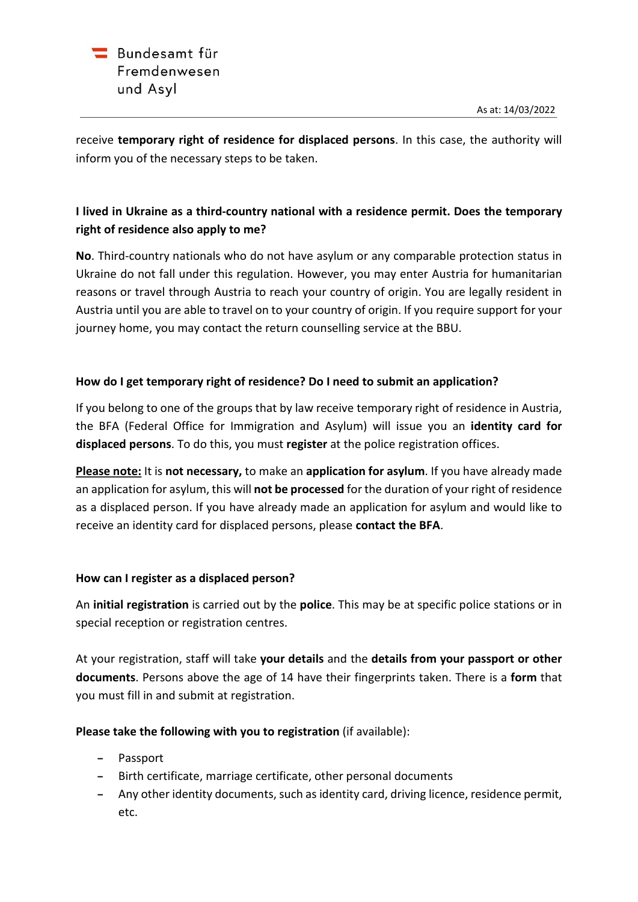receive **temporary right of residence for displaced persons**. In this case, the authority will inform you of the necessary steps to be taken.

# **I lived in Ukraine as a third-country national with a residence permit. Does the temporary right of residence also apply to me?**

**No**. Third-country nationals who do not have asylum or any comparable protection status in Ukraine do not fall under this regulation. However, you may enter Austria for humanitarian reasons or travel through Austria to reach your country of origin. You are legally resident in Austria until you are able to travel on to your country of origin. If you require support for your journey home, you may contact the return counselling service at the BBU.

## **How do I get temporary right of residence? Do I need to submit an application?**

If you belong to one of the groups that by law receive temporary right of residence in Austria, the BFA (Federal Office for Immigration and Asylum) will issue you an **identity card for displaced persons**. To do this, you must **register** at the police registration offices.

**Please note:** It is **not necessary,** to make an **application for asylum**. If you have already made an application for asylum, this will **not be processed** for the duration of your right of residence as a displaced person. If you have already made an application for asylum and would like to receive an identity card for displaced persons, please **contact the BFA**.

## **How can I register as a displaced person?**

An **initial registration** is carried out by the **police**. This may be at specific police stations or in special reception or registration centres.

At your registration, staff will take **your details** and the **details from your passport or other documents**. Persons above the age of 14 have their fingerprints taken. There is a **form** that you must fill in and submit at registration.

**Please take the following with you to registration** (if available):

- **−** Passport
- **−** Birth certificate, marriage certificate, other personal documents
- **−** Any other identity documents, such as identity card, driving licence, residence permit, etc.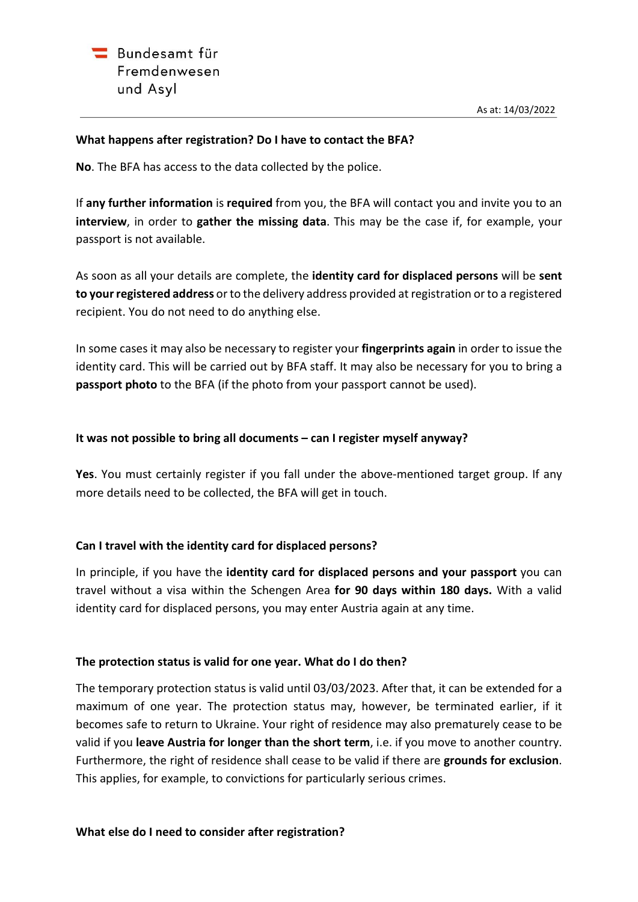#### **What happens after registration? Do I have to contact the BFA?**

**No**. The BFA has access to the data collected by the police.

If **any further information** is **required** from you, the BFA will contact you and invite you to an **interview**, in order to **gather the missing data**. This may be the case if, for example, your passport is not available.

As soon as all your details are complete, the **identity card for displaced persons** will be **sent to your registered address** or to the delivery address provided at registration or to a registered recipient. You do not need to do anything else.

In some cases it may also be necessary to register your **fingerprints again** in order to issue the identity card. This will be carried out by BFA staff. It may also be necessary for you to bring a **passport photo** to the BFA (if the photo from your passport cannot be used).

#### **It was not possible to bring all documents – can I register myself anyway?**

**Yes**. You must certainly register if you fall under the above-mentioned target group. If any more details need to be collected, the BFA will get in touch.

### **Can I travel with the identity card for displaced persons?**

In principle, if you have the **identity card for displaced persons and your passport** you can travel without a visa within the Schengen Area **for 90 days within 180 days.** With a valid identity card for displaced persons, you may enter Austria again at any time.

### **The protection status is valid for one year. What do I do then?**

The temporary protection status is valid until 03/03/2023. After that, it can be extended for a maximum of one year. The protection status may, however, be terminated earlier, if it becomes safe to return to Ukraine. Your right of residence may also prematurely cease to be valid if you **leave Austria for longer than the short term**, i.e. if you move to another country. Furthermore, the right of residence shall cease to be valid if there are **grounds for exclusion**. This applies, for example, to convictions for particularly serious crimes.

#### **What else do I need to consider after registration?**